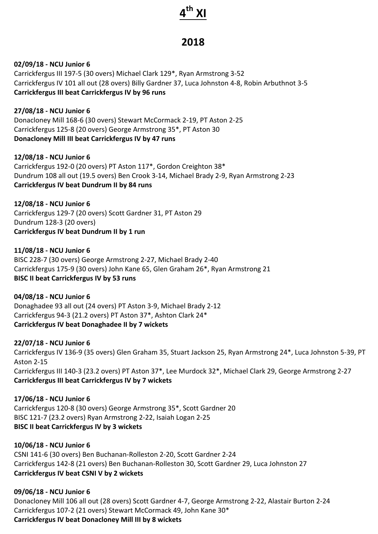# **4th XI**

# **2018**

#### **02/09/18 - NCU Junior 6**

Carrickfergus III 197-5 (30 overs) Michael Clark 129\*, Ryan Armstrong 3-52 Carrickfergus IV 101 all out (28 overs) Billy Gardner 37, Luca Johnston 4-8, Robin Arbuthnot 3-5 **Carrickfergus III beat Carrickfergus IV by 96 runs** 

# **27/08/18 - NCU Junior 6**

Donacloney Mill 168-6 (30 overs) Stewart McCormack 2-19, PT Aston 2-25 Carrickfergus 125-8 (20 overs) George Armstrong 35\*, PT Aston 30 **Donacloney Mill III beat Carrickfergus IV by 47 runs** 

#### **12/08/18 - NCU Junior 6**

Carrickfergus 192-0 (20 overs) PT Aston 117\*, Gordon Creighton 38\* Dundrum 108 all out (19.5 overs) Ben Crook 3-14, Michael Brady 2-9, Ryan Armstrong 2-23 **Carrickfergus IV beat Dundrum II by 84 runs** 

**12/08/18 - NCU Junior 6** Carrickfergus 129-7 (20 overs) Scott Gardner 31, PT Aston 29 Dundrum 128-3 (20 overs) **Carrickfergus IV beat Dundrum II by 1 run** 

#### **11/08/18 - NCU Junior 6**

BISC 228-7 (30 overs) George Armstrong 2-27, Michael Brady 2-40 Carrickfergus 175-9 (30 overs) John Kane 65, Glen Graham 26\*, Ryan Armstrong 21 **BISC II beat Carrickfergus IV by 53 runs** 

# **04/08/18 - NCU Junior 6**

Donaghadee 93 all out (24 overs) PT Aston 3-9, Michael Brady 2-12 Carrickfergus 94-3 (21.2 overs) PT Aston 37\*, Ashton Clark 24\* **Carrickfergus IV beat Donaghadee II by 7 wickets** 

# **22/07/18 - NCU Junior 6**

Carrickfergus IV 136-9 (35 overs) Glen Graham 35, Stuart Jackson 25, Ryan Armstrong 24\*, Luca Johnston 5-39, PT Aston 2-15 Carrickfergus III 140-3 (23.2 overs) PT Aston 37\*, Lee Murdock 32\*, Michael Clark 29, George Armstrong 2-27 **Carrickfergus III beat Carrickfergus IV by 7 wickets** 

**17/06/18 - NCU Junior 6** Carrickfergus 120-8 (30 overs) George Armstrong 35\*, Scott Gardner 20 BISC 121-7 (23.2 overs) Ryan Armstrong 2-22, Isaiah Logan 2-25 **BISC II beat Carrickfergus IV by 3 wickets** 

# **10/06/18 - NCU Junior 6**

CSNI 141-6 (30 overs) Ben Buchanan-Rolleston 2-20, Scott Gardner 2-24 Carrickfergus 142-8 (21 overs) Ben Buchanan-Rolleston 30, Scott Gardner 29, Luca Johnston 27 **Carrickfergus IV beat CSNI V by 2 wickets** 

# **09/06/18 - NCU Junior 6**

Donacloney Mill 106 all out (28 overs) Scott Gardner 4-7, George Armstrong 2-22, Alastair Burton 2-24 Carrickfergus 107-2 (21 overs) Stewart McCormack 49, John Kane 30\* **Carrickfergus IV beat Donacloney Mill III by 8 wickets**